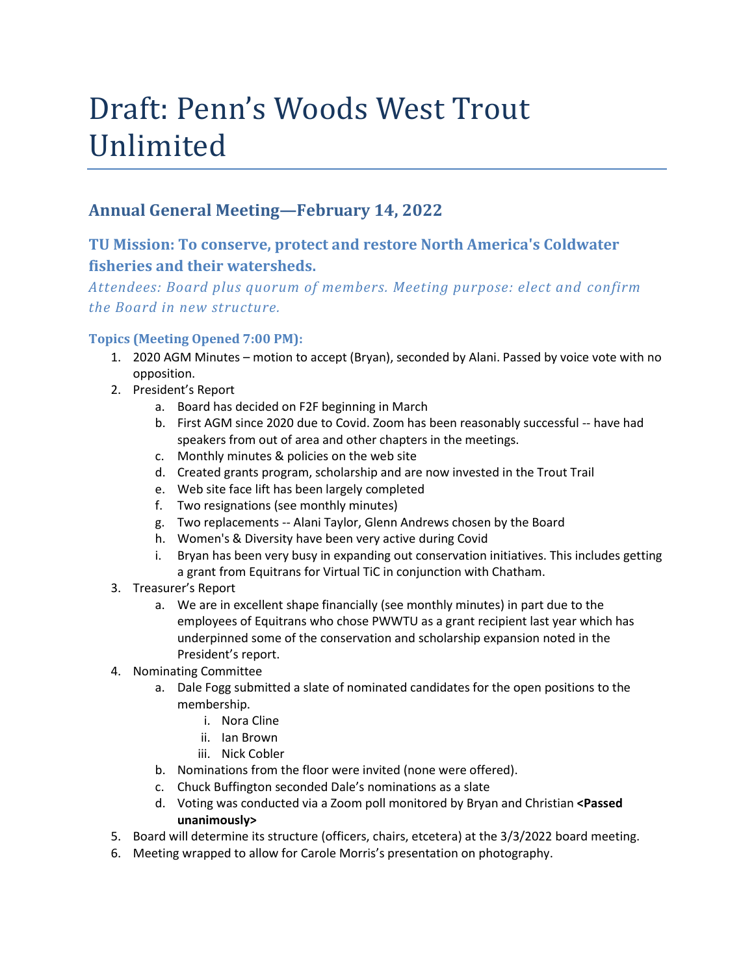## Draft: Penn's Woods West Trout Unlimited

## **Annual General Meeting—February 14, 2022**

## **TU Mission: To conserve, protect and restore North America's Coldwater fisheries and their watersheds.**

*Attendees: Board plus quorum of members. Meeting purpose: elect and confirm the Board in new structure.*

## **Topics (Meeting Opened 7:00 PM):**

- 1. 2020 AGM Minutes motion to accept (Bryan), seconded by Alani. Passed by voice vote with no opposition.
- 2. President's Report
	- a. Board has decided on F2F beginning in March
	- b. First AGM since 2020 due to Covid. Zoom has been reasonably successful -- have had speakers from out of area and other chapters in the meetings.
	- c. Monthly minutes & policies on the web site
	- d. Created grants program, scholarship and are now invested in the Trout Trail
	- e. Web site face lift has been largely completed
	- f. Two resignations (see monthly minutes)
	- g. Two replacements -- Alani Taylor, Glenn Andrews chosen by the Board
	- h. Women's & Diversity have been very active during Covid
	- i. Bryan has been very busy in expanding out conservation initiatives. This includes getting a grant from Equitrans for Virtual TiC in conjunction with Chatham.
- 3. Treasurer's Report
	- a. We are in excellent shape financially (see monthly minutes) in part due to the employees of Equitrans who chose PWWTU as a grant recipient last year which has underpinned some of the conservation and scholarship expansion noted in the President's report.
- 4. Nominating Committee
	- a. Dale Fogg submitted a slate of nominated candidates for the open positions to the membership.
		- i. Nora Cline
		- ii. Ian Brown
		- iii. Nick Cobler
	- b. Nominations from the floor were invited (none were offered).
	- c. Chuck Buffington seconded Dale's nominations as a slate
	- d. Voting was conducted via a Zoom poll monitored by Bryan and Christian **<Passed unanimously>**
- 5. Board will determine its structure (officers, chairs, etcetera) at the 3/3/2022 board meeting.
- 6. Meeting wrapped to allow for Carole Morris's presentation on photography.